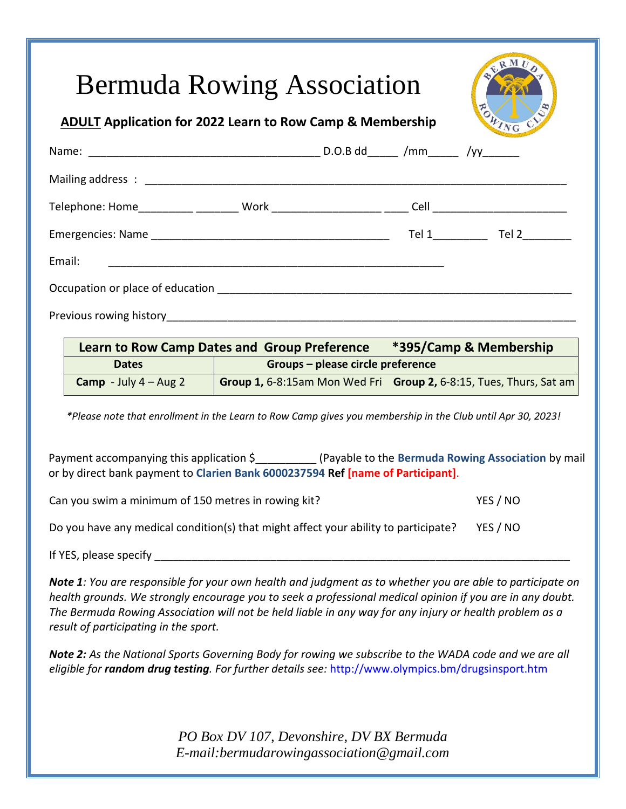|  | <b>Bermuda Rowing Association</b><br><b>ADULT Application for 2022 Learn to Row Camp &amp; Membership</b> |  |                                                       | ERMU<br>FORTNG CV |
|--|-----------------------------------------------------------------------------------------------------------|--|-------------------------------------------------------|-------------------|
|  |                                                                                                           |  |                                                       |                   |
|  |                                                                                                           |  |                                                       |                   |
|  |                                                                                                           |  |                                                       |                   |
|  |                                                                                                           |  |                                                       |                   |
|  |                                                                                                           |  |                                                       |                   |
|  |                                                                                                           |  |                                                       |                   |
|  |                                                                                                           |  |                                                       |                   |
|  | Learn to Row Camp Dates and Group Preference *395/Camp & Membership<br><b>Dates</b>                       |  | <b>Example 2018</b> Groups – please circle preference |                   |

 *\*Please note that enrollment in the Learn to Row Camp gives you membership in the Club until Apr 30, 2023!*

**Camp** - July 4 – Aug 2 **Group 1,** 6-8:15am Mon Wed Fri **Group 2,** 6-8:15, Tues, Thurs, Sat am

Payment accompanying this application \$\_\_\_\_\_\_\_\_\_\_ (Payable to the **Bermuda Rowing Association** by mail or by direct bank payment to **Clarien Bank 6000237594 Ref [name of Participant]**.

| Can you swim a minimum of 150 metres in rowing kit? | YES / NO |
|-----------------------------------------------------|----------|
|-----------------------------------------------------|----------|

Do you have any medical condition(s) that might affect your ability to participate? YES / NO

If YES, please specify

*Note 1: You are responsible for your own health and judgment as to whether you are able to participate on health grounds. We strongly encourage you to seek a professional medical opinion if you are in any doubt. The Bermuda Rowing Association will not be held liable in any way for any injury or health problem as a result of participating in the sport.*

*Note 2: As the National Sports Governing Body for rowing we subscribe to the WADA code and we are all eligible for random drug testing. For further details see:* http://www.olympics.bm/drugsinsport.htm

> *PO Box DV 107, Devonshire, DV BX Bermuda E-mail:bermudarowingassociation@gmail.com*